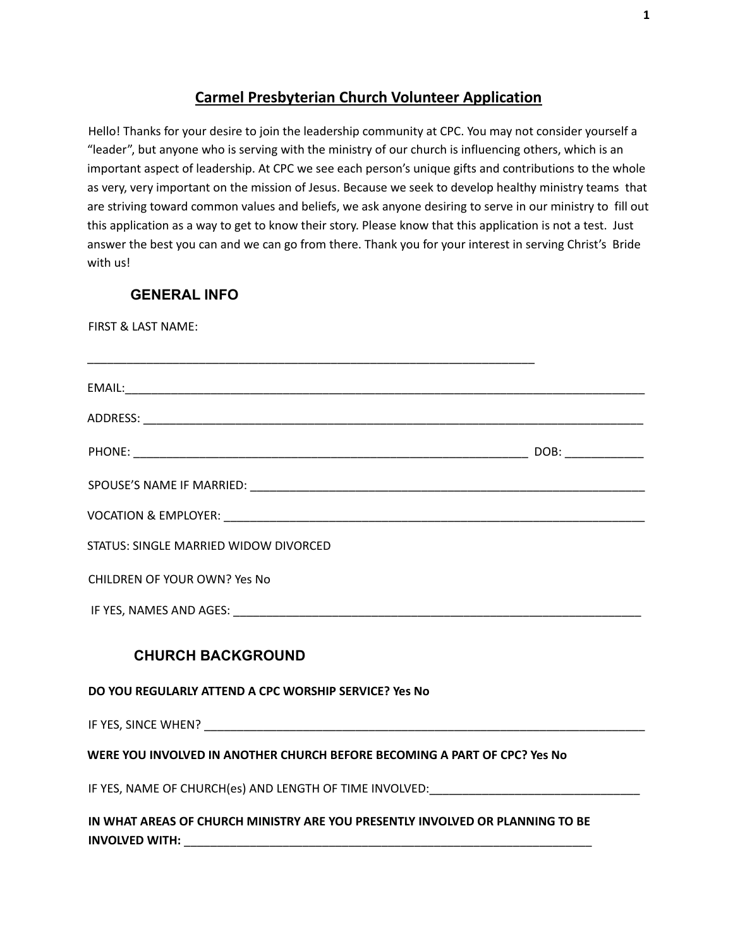## **Carmel Presbyterian Church Volunteer Application**

Hello! Thanks for your desire to join the leadership community at CPC. You may not consider yourself a "leader", but anyone who is serving with the ministry of our church is influencing others, which is an important aspect of leadership. At CPC we see each person's unique gifts and contributions to the whole as very, very important on the mission of Jesus. Because we seek to develop healthy ministry teams that are striving toward common values and beliefs, we ask anyone desiring to serve in our ministry to fill out this application as a way to get to know their story. Please know that this application is not a test. Just answer the best you can and we can go from there. Thank you for your interest in serving Christ's Bride with us!

#### **GENERAL INFO**

FIRST & LAST NAME:

| STATUS: SINGLE MARRIED WIDOW DIVORCED                                                                          |  |
|----------------------------------------------------------------------------------------------------------------|--|
| <b>CHILDREN OF YOUR OWN? Yes No</b>                                                                            |  |
|                                                                                                                |  |
| <b>CHURCH BACKGROUND</b>                                                                                       |  |
| DO YOU REGULARLY ATTEND A CPC WORSHIP SERVICE? Yes No                                                          |  |
|                                                                                                                |  |
| WERE YOU INVOLVED IN ANOTHER CHURCH BEFORE BECOMING A PART OF CPC? Yes No                                      |  |
| IF YES, NAME OF CHURCH(es) AND LENGTH OF TIME INVOLVED: NAME AND THE SERVICE OF STATE OF STATE AND THE STATE O |  |
| IN WHAT AREAS OF CHURCH MINISTRY ARE YOU PRESENTLY INVOLVED OR PLANNING TO BE<br><b>INVOLVED WITH:</b>         |  |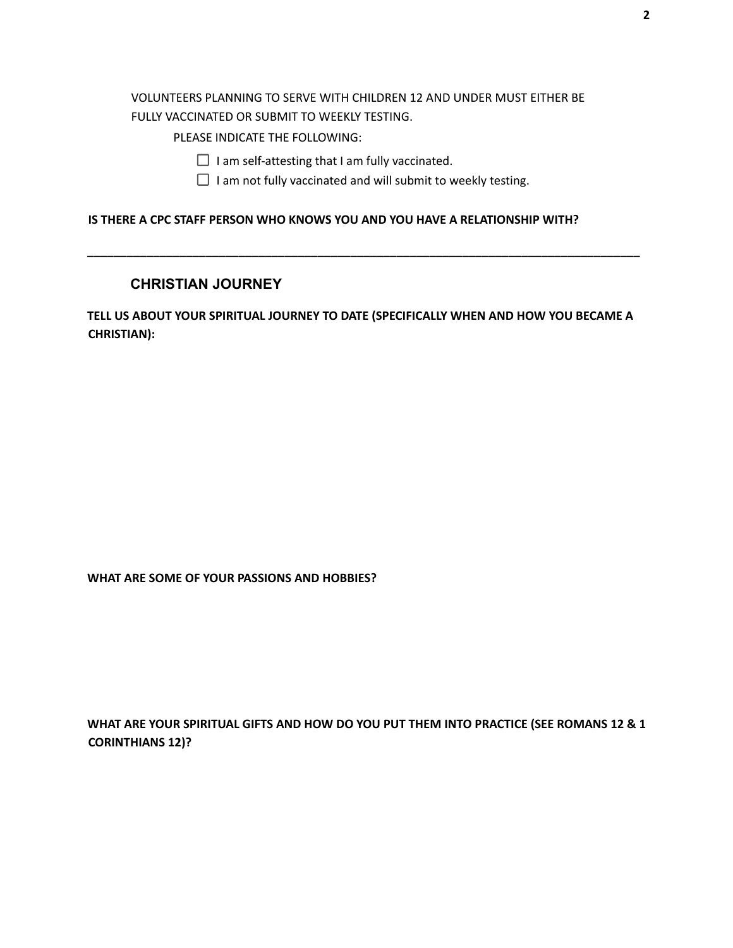#### VOLUNTEERS PLANNING TO SERVE WITH CHILDREN 12 AND UNDER MUST EITHER BE FULLY VACCINATED OR SUBMIT TO WEEKLY TESTING.

PLEASE INDICATE THE FOLLOWING:

- $\Box$  I am self-attesting that I am fully vaccinated.
- $\Box$  I am not fully vaccinated and will submit to weekly testing.

**\_\_\_\_\_\_\_\_\_\_\_\_\_\_\_\_\_\_\_\_\_\_\_\_\_\_\_\_\_\_\_\_\_\_\_\_\_\_\_\_\_\_\_\_\_\_\_\_\_\_\_\_\_\_\_\_\_\_\_\_\_\_\_\_\_\_\_\_\_\_\_\_\_\_\_\_\_\_\_\_\_\_\_\_**

### **IS THERE A CPC STAFF PERSON WHO KNOWS YOU AND YOU HAVE A RELATIONSHIP WITH?**

#### **CHRISTIAN JOURNEY**

**TELL US ABOUT YOUR SPIRITUAL JOURNEY TO DATE (SPECIFICALLY WHEN AND HOW YOU BECAME A CHRISTIAN):**

**WHAT ARE SOME OF YOUR PASSIONS AND HOBBIES?**

**WHAT ARE YOUR SPIRITUAL GIFTS AND HOW DO YOU PUT THEM INTO PRACTICE (SEE ROMANS 12 & 1 CORINTHIANS 12)?**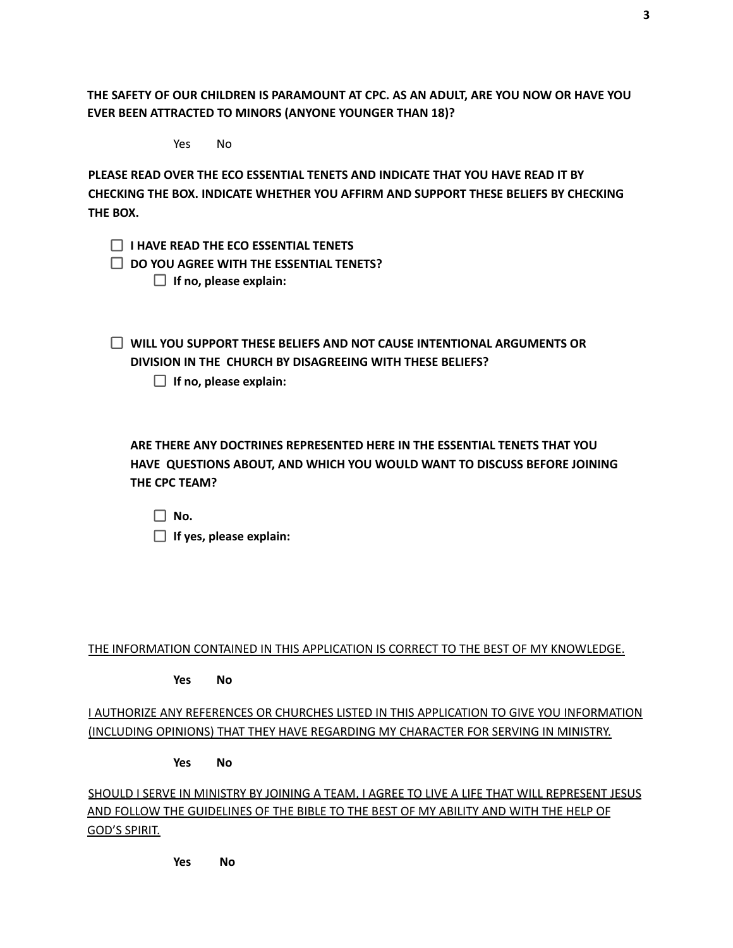**THE SAFETY OF OUR CHILDREN IS PARAMOUNT AT CPC. AS AN ADULT, ARE YOU NOW OR HAVE YOU EVER BEEN ATTRACTED TO MINORS (ANYONE YOUNGER THAN 18)?**

Yes No

**PLEASE READ OVER THE ECO ESSENTIAL TENETS AND INDICATE THAT YOU HAVE READ IT BY CHECKING THE BOX. INDICATE WHETHER YOU AFFIRM AND SUPPORT THESE BELIEFS BY CHECKING THE BOX.**

**I HAVE READ THE ECO ESSENTIAL TENETS**

**DO YOU AGREE WITH THE ESSENTIAL TENETS?**

**If no, please explain:**

**WILL YOU SUPPORT THESE BELIEFS AND NOT CAUSE INTENTIONAL ARGUMENTS OR DIVISION IN THE CHURCH BY DISAGREEING WITH THESE BELIEFS?**

**If no, please explain:**

**ARE THERE ANY DOCTRINES REPRESENTED HERE IN THE ESSENTIAL TENETS THAT YOU HAVE QUESTIONS ABOUT, AND WHICH YOU WOULD WANT TO DISCUSS BEFORE JOINING THE CPC TEAM?**

 $\Box$  No. **If yes, please explain:**

#### THE INFORMATION CONTAINED IN THIS APPLICATION IS CORRECT TO THE BEST OF MY KNOWLEDGE.

**Yes No**

I AUTHORIZE ANY REFERENCES OR CHURCHES LISTED IN THIS APPLICATION TO GIVE YOU INFORMATION (INCLUDING OPINIONS) THAT THEY HAVE REGARDING MY CHARACTER FOR SERVING IN MINISTRY.

**Yes No**

SHOULD I SERVE IN MINISTRY BY JOINING A TEAM, I AGREE TO LIVE A LIFE THAT WILL REPRESENT JESUS AND FOLLOW THE GUIDELINES OF THE BIBLE TO THE BEST OF MY ABILITY AND WITH THE HELP OF GOD'S SPIRIT.

**Yes No**